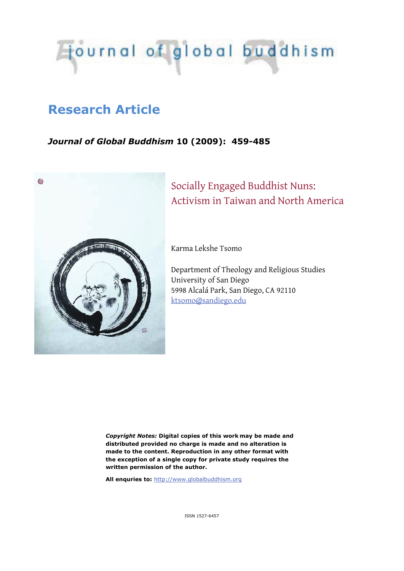

## **Research Article**

## *Journal of Global Buddhism* **10 (2009): 459-485**



# Socially Engaged Buddhist Nuns: Activism in Taiwan and North America

Karma Lekshe Tsomo

Department of Theology and Religious Studies University of San Diego 5998 Alcalá Park, San Diego, CA 92110 ktsomo@sandiego.edu

*Copyright Notes:* **Digital copies of this work may be made and distributed provided no charge is made and no alteration is made to the content. Reproduction in any other format with the exception of a single copy for private study requires the written permission of the author.** 

**All enquries to:** http://www.globalbuddhism.org

ISSN 1527-6457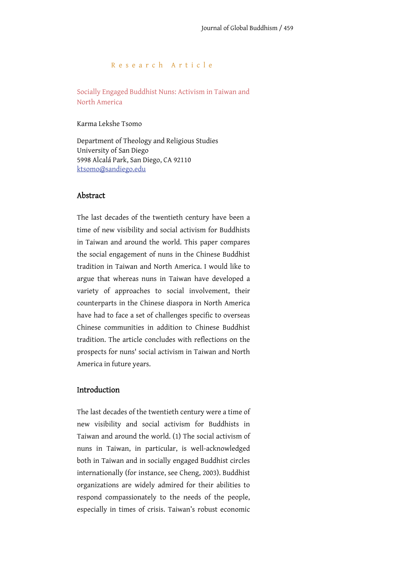#### Research Article

Socially Engaged Buddhist Nuns: Activism in Taiwan and North America

Karma Lekshe Tsomo

Department of Theology and Religious Studies University of San Diego 5998 Alcalá Park, San Diego, CA 92110 ktsomo@sandiego.edu

## Abstract

The last decades of the twentieth century have been a time of new visibility and social activism for Buddhists in Taiwan and around the world. This paper compares the social engagement of nuns in the Chinese Buddhist tradition in Taiwan and North America. I would like to argue that whereas nuns in Taiwan have developed a variety of approaches to social involvement, their counterparts in the Chinese diaspora in North America have had to face a set of challenges specific to overseas Chinese communities in addition to Chinese Buddhist tradition. The article concludes with reflections on the prospects for nuns' social activism in Taiwan and North America in future years.

## Introduction

The last decades of the twentieth century were a time of new visibility and social activism for Buddhists in Taiwan and around the world. (1) The social activism of nuns in Taiwan, in particular, is well-acknowledged both in Taiwan and in socially engaged Buddhist circles internationally (for instance, see Cheng, 2003). Buddhist organizations are widely admired for their abilities to respond compassionately to the needs of the people, especially in times of crisis. Taiwan's robust economic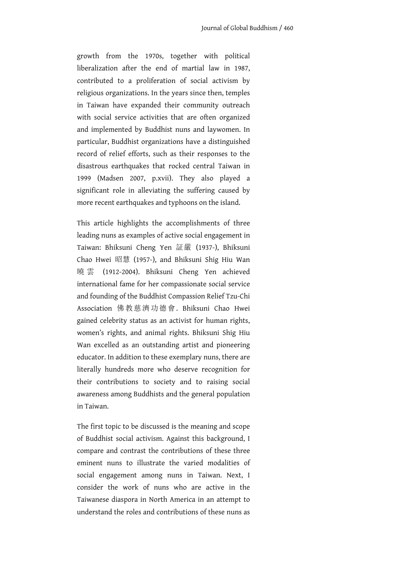growth from the 1970s, together with political liberalization after the end of martial law in 1987, contributed to a proliferation of social activism by religious organizations. In the years since then, temples in Taiwan have expanded their community outreach with social service activities that are often organized and implemented by Buddhist nuns and laywomen. In particular, Buddhist organizations have a distinguished record of relief efforts, such as their responses to the disastrous earthquakes that rocked central Taiwan in 1999 (Madsen 2007, p.xvii). They also played a significant role in alleviating the suffering caused by more recent earthquakes and typhoons on the island.

This article highlights the accomplishments of three leading nuns as examples of active social engagement in Taiwan: Bhiksuni Cheng Yen 証嚴 (1937-), Bhiksuni Chao Hwei 昭慧 (1957-), and Bhiksuni Shig Hiu Wan 曉 雲 (1912-2004). Bhiksuni Cheng Yen achieved international fame for her compassionate social service and founding of the Buddhist Compassion Relief Tzu-Chi Association 佛教慈濟功德會. Bhiksuni Chao Hwei gained celebrity status as an activist for human rights, women's rights, and animal rights. Bhiksuni Shig Hiu Wan excelled as an outstanding artist and pioneering educator. In addition to these exemplary nuns, there are literally hundreds more who deserve recognition for their contributions to society and to raising social awareness among Buddhists and the general population in Taiwan.

The first topic to be discussed is the meaning and scope of Buddhist social activism. Against this background, I compare and contrast the contributions of these three eminent nuns to illustrate the varied modalities of social engagement among nuns in Taiwan. Next, I consider the work of nuns who are active in the Taiwanese diaspora in North America in an attempt to understand the roles and contributions of these nuns as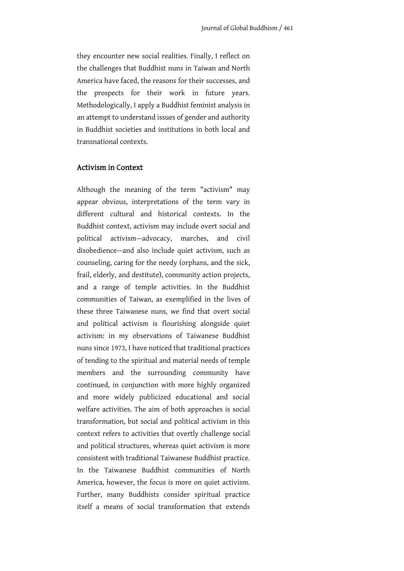they encounter new social realities. Finally, I reflect on the challenges that Buddhist nuns in Taiwan and North America have faced, the reasons for their successes, and the prospects for their work in future years. Methodologically, I apply a Buddhist feminist analysis in an attempt to understand issues of gender and authority in Buddhist societies and institutions in both local and transnational contexts.

#### Activism in Context

Although the meaning of the term "activism" may appear obvious, interpretations of the term vary in different cultural and historical contexts. In the Buddhist context, activism may include overt social and political activism—advocacy, marches, and civil disobedience—and also include quiet activism, such as counseling, caring for the needy (orphans, and the sick, frail, elderly, and destitute), community action projects, and a range of temple activities. In the Buddhist communities of Taiwan, as exemplified in the lives of these three Taiwanese nuns, we find that overt social and political activism is flourishing alongside quiet activism: in my observations of Taiwanese Buddhist nuns since 1973, I have noticed that traditional practices of tending to the spiritual and material needs of temple members and the surrounding community have continued, in conjunction with more highly organized and more widely publicized educational and social welfare activities. The aim of both approaches is social transformation, but social and political activism in this context refers to activities that overtly challenge social and political structures, whereas quiet activism is more consistent with traditional Taiwanese Buddhist practice. In the Taiwanese Buddhist communities of North America, however, the focus is more on quiet activism. Further, many Buddhists consider spiritual practice itself a means of social transformation that extends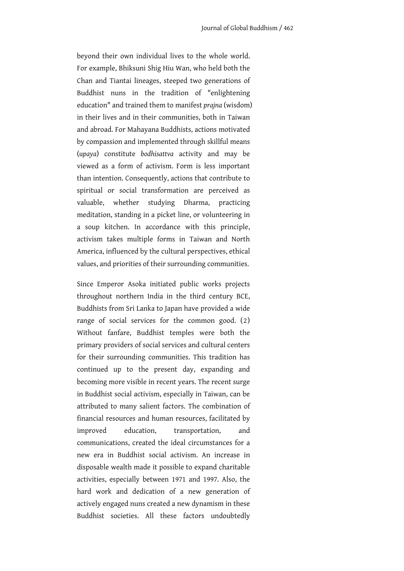beyond their own individual lives to the whole world. For example, Bhiksuni Shig Hiu Wan, who held both the Chan and Tiantai lineages, steeped two generations of Buddhist nuns in the tradition of "enlightening education" and trained them to manifest *prajna* (wisdom) in their lives and in their communities, both in Taiwan and abroad. For Mahayana Buddhists, actions motivated by compassion and implemented through skillful means (*upaya*) constitute *bodhisattva* activity and may be viewed as a form of activism. Form is less important than intention. Consequently, actions that contribute to spiritual or social transformation are perceived as valuable, whether studying Dharma, practicing meditation, standing in a picket line, or volunteering in a soup kitchen. In accordance with this principle, activism takes multiple forms in Taiwan and North America, influenced by the cultural perspectives, ethical values, and priorities of their surrounding communities.

Since Emperor Asoka initiated public works projects throughout northern India in the third century BCE, Buddhists from Sri Lanka to Japan have provided a wide range of social services for the common good. (2) Without fanfare, Buddhist temples were both the primary providers of social services and cultural centers for their surrounding communities. This tradition has continued up to the present day, expanding and becoming more visible in recent years. The recent surge in Buddhist social activism, especially in Taiwan, can be attributed to many salient factors. The combination of financial resources and human resources, facilitated by improved education, transportation, and communications, created the ideal circumstances for a new era in Buddhist social activism. An increase in disposable wealth made it possible to expand charitable activities, especially between 1971 and 1997. Also, the hard work and dedication of a new generation of actively engaged nuns created a new dynamism in these Buddhist societies. All these factors undoubtedly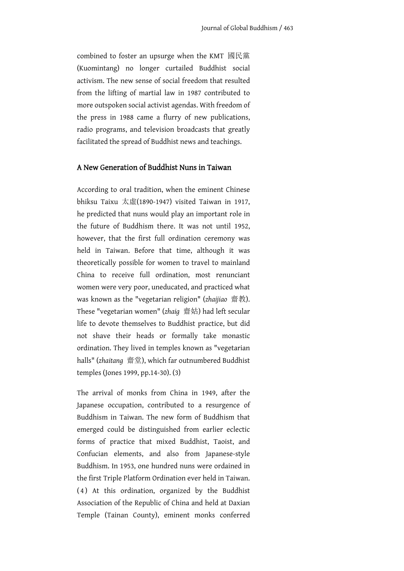combined to foster an upsurge when the KMT 國民黨 (Kuomintang) no longer curtailed Buddhist social activism. The new sense of social freedom that resulted from the lifting of martial law in 1987 contributed to more outspoken social activist agendas. With freedom of the press in 1988 came a flurry of new publications, radio programs, and television broadcasts that greatly facilitated the spread of Buddhist news and teachings.

## A New Generation of Buddhist Nuns in Taiwan

According to oral tradition, when the eminent Chinese bhiksu Taixu 太虛(1890-1947) visited Taiwan in 1917, he predicted that nuns would play an important role in the future of Buddhism there. It was not until 1952, however, that the first full ordination ceremony was held in Taiwan. Before that time, although it was theoretically possible for women to travel to mainland China to receive full ordination, most renunciant women were very poor, uneducated, and practiced what was known as the "vegetarian religion" (*zhaijiao* 齋教). These "vegetarian women" (*zhaig* 齋姑) had left secular life to devote themselves to Buddhist practice, but did not shave their heads or formally take monastic ordination. They lived in temples known as "vegetarian halls" (*zhaitang* 齋堂), which far outnumbered Buddhist temples (Jones 1999, pp.14-30). (3)

The arrival of monks from China in 1949, after the Japanese occupation, contributed to a resurgence of Buddhism in Taiwan. The new form of Buddhism that emerged could be distinguished from earlier eclectic forms of practice that mixed Buddhist, Taoist, and Confucian elements, and also from Japanese-style Buddhism. In 1953, one hundred nuns were ordained in the first Triple Platform Ordination ever held in Taiwan. ( 4 ) At this ordination, organized by the Buddhist Association of the Republic of China and held at Daxian Temple (Tainan County), eminent monks conferred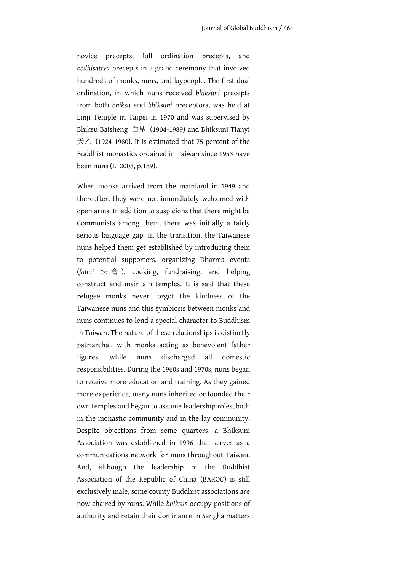novice precepts, full ordination precepts, and *bodhisattva* precepts in a grand ceremony that involved hundreds of monks, nuns, and laypeople. The first dual ordination, in which nuns received *bhiksuni* precepts from both *bhiksu* and *bhiksuni* preceptors, was held at Linji Temple in Taipei in 1970 and was supervised by Bhiksu Baisheng 白聖 (1904-1989) and Bhiksuni Tianyi 天乙 (1924-1980). It is estimated that 75 percent of the Buddhist monastics ordained in Taiwan since 1953 have been nuns (Li 2008, p.189).

When monks arrived from the mainland in 1949 and thereafter, they were not immediately welcomed with open arms. In addition to suspicions that there might be Communists among them, there was initially a fairly serious language gap. In the transition, the Taiwanese nuns helped them get established by introducing them to potential supporters, organizing Dharma events (*fahui* 法 會 ), cooking, fundraising, and helping construct and maintain temples. It is said that these refugee monks never forgot the kindness of the Taiwanese nuns and this symbiosis between monks and nuns continues to lend a special character to Buddhism in Taiwan. The nature of these relationships is distinctly patriarchal, with monks acting as benevolent father figures, while nuns discharged all domestic responsibilities. During the 1960s and 1970s, nuns began to receive more education and training. As they gained more experience, many nuns inherited or founded their own temples and began to assume leadership roles, both in the monastic community and in the lay community. Despite objections from some quarters, a Bhiksuni Association was established in 1996 that serves as a communications network for nuns throughout Taiwan. And, although the leadership of the Buddhist Association of the Republic of China (BAROC) is still exclusively male, some county Buddhist associations are now chaired by nuns. While *bhiksu*s occupy positions of authority and retain their dominance in Sangha matters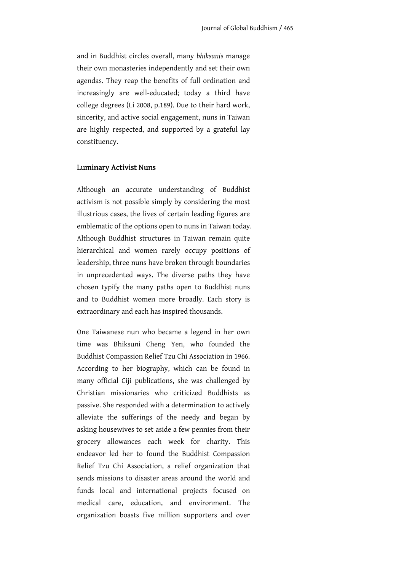and in Buddhist circles overall, many *bhiksuni*s manage their own monasteries independently and set their own agendas. They reap the benefits of full ordination and increasingly are well-educated; today a third have college degrees (Li 2008, p.189). Due to their hard work, sincerity, and active social engagement, nuns in Taiwan are highly respected, and supported by a grateful lay constituency.

#### Luminary Activist Nuns

Although an accurate understanding of Buddhist activism is not possible simply by considering the most illustrious cases, the lives of certain leading figures are emblematic of the options open to nuns in Taiwan today. Although Buddhist structures in Taiwan remain quite hierarchical and women rarely occupy positions of leadership, three nuns have broken through boundaries in unprecedented ways. The diverse paths they have chosen typify the many paths open to Buddhist nuns and to Buddhist women more broadly. Each story is extraordinary and each has inspired thousands.

One Taiwanese nun who became a legend in her own time was Bhiksuni Cheng Yen, who founded the Buddhist Compassion Relief Tzu Chi Association in 1966. According to her biography, which can be found in many official Ciji publications, she was challenged by Christian missionaries who criticized Buddhists as passive. She responded with a determination to actively alleviate the sufferings of the needy and began by asking housewives to set aside a few pennies from their grocery allowances each week for charity. This endeavor led her to found the Buddhist Compassion Relief Tzu Chi Association, a relief organization that sends missions to disaster areas around the world and funds local and international projects focused on medical care, education, and environment. The organization boasts five million supporters and over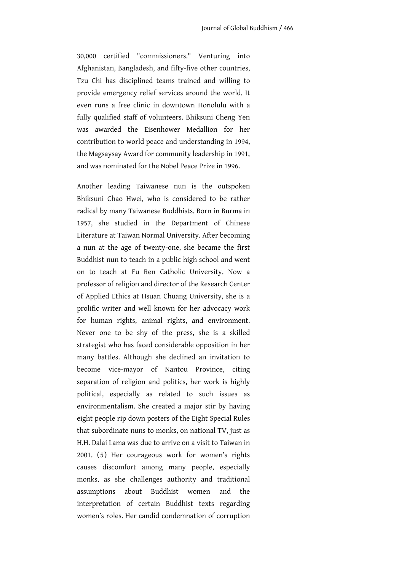30,000 certified "commissioners." Venturing into Afghanistan, Bangladesh, and fifty-five other countries, Tzu Chi has disciplined teams trained and willing to provide emergency relief services around the world. It even runs a free clinic in downtown Honolulu with a fully qualified staff of volunteers. Bhiksuni Cheng Yen was awarded the Eisenhower Medallion for her contribution to world peace and understanding in 1994, the Magsaysay Award for community leadership in 1991, and was nominated for the Nobel Peace Prize in 1996.

Another leading Taiwanese nun is the outspoken Bhiksuni Chao Hwei, who is considered to be rather radical by many Taiwanese Buddhists. Born in Burma in 1957, she studied in the Department of Chinese Literature at Taiwan Normal University. After becoming a nun at the age of twenty-one, she became the first Buddhist nun to teach in a public high school and went on to teach at Fu Ren Catholic University. Now a professor of religion and director of the Research Center of Applied Ethics at Hsuan Chuang University, she is a prolific writer and well known for her advocacy work for human rights, animal rights, and environment. Never one to be shy of the press, she is a skilled strategist who has faced considerable opposition in her many battles. Although she declined an invitation to become vice-mayor of Nantou Province, citing separation of religion and politics, her work is highly political, especially as related to such issues as environmentalism. She created a major stir by having eight people rip down posters of the Eight Special Rules that subordinate nuns to monks, on national TV, just as H.H. Dalai Lama was due to arrive on a visit to Taiwan in 2001. (5) Her courageous work for women's rights causes discomfort among many people, especially monks, as she challenges authority and traditional assumptions about Buddhist women and the interpretation of certain Buddhist texts regarding women's roles. Her candid condemnation of corruption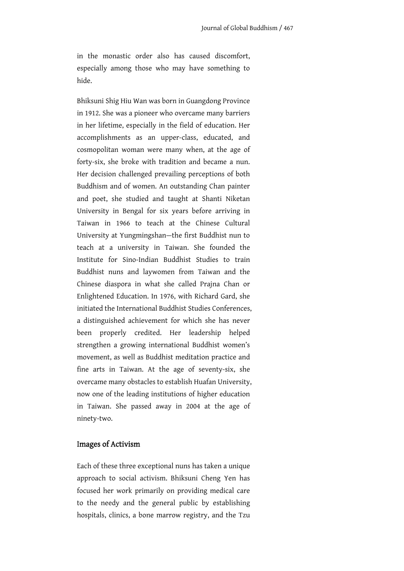in the monastic order also has caused discomfort, especially among those who may have something to hide.

Bhiksuni Shig Hiu Wan was born in Guangdong Province in 1912. She was a pioneer who overcame many barriers in her lifetime, especially in the field of education. Her accomplishments as an upper-class, educated, and cosmopolitan woman were many when, at the age of forty-six, she broke with tradition and became a nun. Her decision challenged prevailing perceptions of both Buddhism and of women. An outstanding Chan painter and poet, she studied and taught at Shanti Niketan University in Bengal for six years before arriving in Taiwan in 1966 to teach at the Chinese Cultural University at Yungmingshan—the first Buddhist nun to teach at a university in Taiwan. She founded the Institute for Sino-Indian Buddhist Studies to train Buddhist nuns and laywomen from Taiwan and the Chinese diaspora in what she called Prajna Chan or Enlightened Education. In 1976, with Richard Gard, she initiated the International Buddhist Studies Conferences, a distinguished achievement for which she has never been properly credited. Her leadership helped strengthen a growing international Buddhist women's movement, as well as Buddhist meditation practice and fine arts in Taiwan. At the age of seventy-six, she overcame many obstacles to establish Huafan University, now one of the leading institutions of higher education in Taiwan. She passed away in 2004 at the age of ninety-two.

## Images of Activism

Each of these three exceptional nuns has taken a unique approach to social activism. Bhiksuni Cheng Yen has focused her work primarily on providing medical care to the needy and the general public by establishing hospitals, clinics, a bone marrow registry, and the Tzu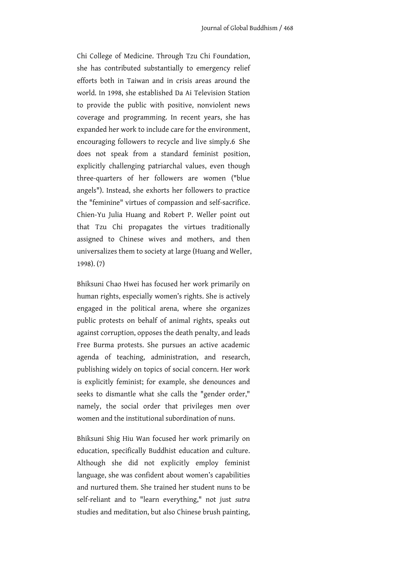Chi College of Medicine. Through Tzu Chi Foundation, she has contributed substantially to emergency relief efforts both in Taiwan and in crisis areas around the world. In 1998, she established Da Ai Television Station to provide the public with positive, nonviolent news coverage and programming. In recent years, she has expanded her work to include care for the environment, encouraging followers to recycle and live simply.6 She does not speak from a standard feminist position, explicitly challenging patriarchal values, even though three-quarters of her followers are women ("blue angels"). Instead, she exhorts her followers to practice the "feminine" virtues of compassion and self-sacrifice. Chien-Yu Julia Huang and Robert P. Weller point out that Tzu Chi propagates the virtues traditionally assigned to Chinese wives and mothers, and then universalizes them to society at large (Huang and Weller, 1998). (7)

Bhiksuni Chao Hwei has focused her work primarily on human rights, especially women's rights. She is actively engaged in the political arena, where she organizes public protests on behalf of animal rights, speaks out against corruption, opposes the death penalty, and leads Free Burma protests. She pursues an active academic agenda of teaching, administration, and research, publishing widely on topics of social concern. Her work is explicitly feminist; for example, she denounces and seeks to dismantle what she calls the "gender order," namely, the social order that privileges men over women and the institutional subordination of nuns.

Bhiksuni Shig Hiu Wan focused her work primarily on education, specifically Buddhist education and culture. Although she did not explicitly employ feminist language, she was confident about women's capabilities and nurtured them. She trained her student nuns to be self-reliant and to "learn everything," not just *sutra* studies and meditation, but also Chinese brush painting,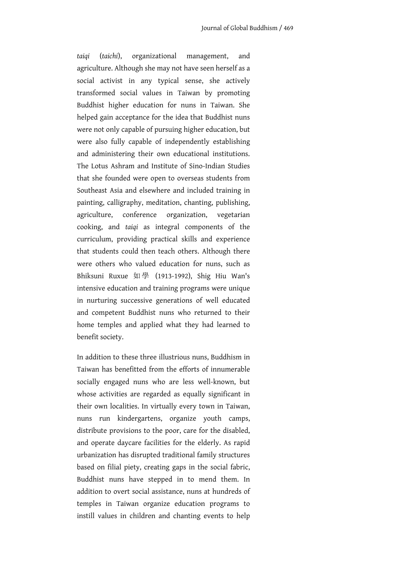*taiqi* (*taichi*), organizational management, and agriculture. Although she may not have seen herself as a social activist in any typical sense, she actively transformed social values in Taiwan by promoting Buddhist higher education for nuns in Taiwan. She helped gain acceptance for the idea that Buddhist nuns were not only capable of pursuing higher education, but were also fully capable of independently establishing and administering their own educational institutions. The Lotus Ashram and Institute of Sino-Indian Studies that she founded were open to overseas students from Southeast Asia and elsewhere and included training in painting, calligraphy, meditation, chanting, publishing, agriculture, conference organization, vegetarian cooking, and *taiqi* as integral components of the curriculum, providing practical skills and experience that students could then teach others. Although there were others who valued education for nuns, such as Bhiksuni Ruxue 如學 (1913-1992), Shig Hiu Wan's intensive education and training programs were unique in nurturing successive generations of well educated and competent Buddhist nuns who returned to their home temples and applied what they had learned to benefit society.

In addition to these three illustrious nuns, Buddhism in Taiwan has benefitted from the efforts of innumerable socially engaged nuns who are less well-known, but whose activities are regarded as equally significant in their own localities. In virtually every town in Taiwan, nuns run kindergartens, organize youth camps, distribute provisions to the poor, care for the disabled, and operate daycare facilities for the elderly. As rapid urbanization has disrupted traditional family structures based on filial piety, creating gaps in the social fabric, Buddhist nuns have stepped in to mend them. In addition to overt social assistance, nuns at hundreds of temples in Taiwan organize education programs to instill values in children and chanting events to help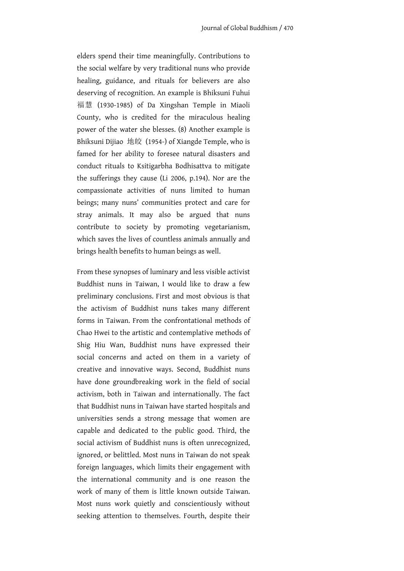elders spend their time meaningfully. Contributions to the social welfare by very traditional nuns who provide healing, guidance, and rituals for believers are also deserving of recognition. An example is Bhiksuni Fuhui 福慧 (1930-1985) of Da Xingshan Temple in Miaoli County, who is credited for the miraculous healing power of the water she blesses. (8) Another example is Bhiksuni Dijiao 地皎 (1954-) of Xiangde Temple, who is famed for her ability to foresee natural disasters and conduct rituals to Ksitigarbha Bodhisattva to mitigate the sufferings they cause (Li 2006, p.194). Nor are the compassionate activities of nuns limited to human beings; many nuns' communities protect and care for stray animals. It may also be argued that nuns contribute to society by promoting vegetarianism, which saves the lives of countless animals annually and brings health benefits to human beings as well.

From these synopses of luminary and less visible activist Buddhist nuns in Taiwan, I would like to draw a few preliminary conclusions. First and most obvious is that the activism of Buddhist nuns takes many different forms in Taiwan. From the confrontational methods of Chao Hwei to the artistic and contemplative methods of Shig Hiu Wan, Buddhist nuns have expressed their social concerns and acted on them in a variety of creative and innovative ways. Second, Buddhist nuns have done groundbreaking work in the field of social activism, both in Taiwan and internationally. The fact that Buddhist nuns in Taiwan have started hospitals and universities sends a strong message that women are capable and dedicated to the public good. Third, the social activism of Buddhist nuns is often unrecognized, ignored, or belittled. Most nuns in Taiwan do not speak foreign languages, which limits their engagement with the international community and is one reason the work of many of them is little known outside Taiwan. Most nuns work quietly and conscientiously without seeking attention to themselves. Fourth, despite their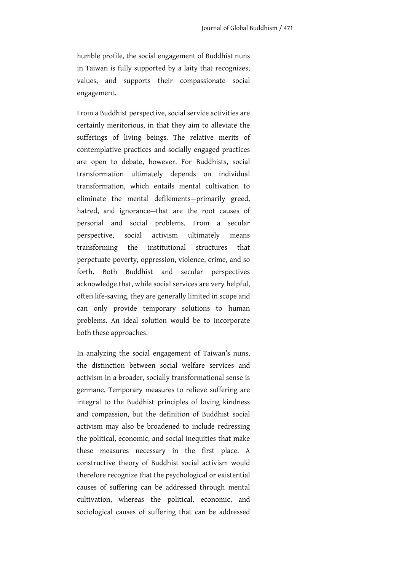humble profile, the social engagement of Buddhist nuns in Taiwan is fully supported by a laity that recognizes, values, and supports their compassionate social engagement.

From a Buddhist perspective, social service activities are certainly meritorious, in that they aim to alleviate the sufferings of living beings. The relative merits of contemplative practices and socially engaged practices are open to debate, however. For Buddhists, social transformation ultimately depends on individual transformation, which entails mental cultivation to eliminate the mental defilements—primarily greed, hatred, and ignorance—that are the root causes of personal and social problems. From a secular perspective, social activism ultimately means transforming the institutional structures that perpetuate poverty, oppression, violence, crime, and so forth. Both Buddhist and secular perspectives acknowledge that, while social services are very helpful, often life-saving, they are generally limited in scope and can only provide temporary solutions to human problems. An ideal solution would be to incorporate both these approaches.

In analyzing the social engagement of Taiwan's nuns, the distinction between social welfare services and activism in a broader, socially transformational sense is germane. Temporary measures to relieve suffering are integral to the Buddhist principles of loving kindness and compassion, but the definition of Buddhist social activism may also be broadened to include redressing the political, economic, and social inequities that make these measures necessary in the first place. A constructive theory of Buddhist social activism would therefore recognize that the psychological or existential causes of suffering can be addressed through mental cultivation, whereas the political, economic, and sociological causes of suffering that can be addressed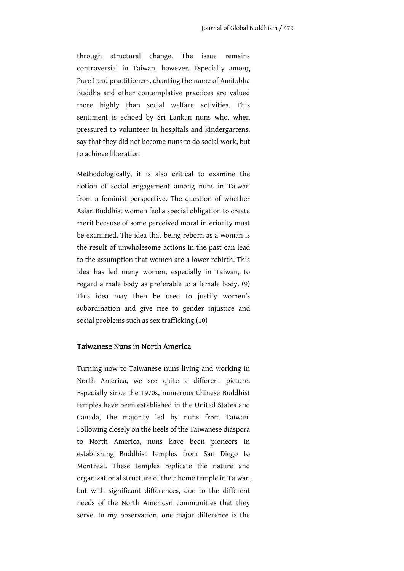through structural change. The issue remains controversial in Taiwan, however. Especially among Pure Land practitioners, chanting the name of Amitabha Buddha and other contemplative practices are valued more highly than social welfare activities. This sentiment is echoed by Sri Lankan nuns who, when pressured to volunteer in hospitals and kindergartens, say that they did not become nuns to do social work, but to achieve liberation.

Methodologically, it is also critical to examine the notion of social engagement among nuns in Taiwan from a feminist perspective. The question of whether Asian Buddhist women feel a special obligation to create merit because of some perceived moral inferiority must be examined. The idea that being reborn as a woman is the result of unwholesome actions in the past can lead to the assumption that women are a lower rebirth. This idea has led many women, especially in Taiwan, to regard a male body as preferable to a female body. (9) This idea may then be used to justify women's subordination and give rise to gender injustice and social problems such as sex trafficking.(10)

### Taiwanese Nuns in North America

Turning now to Taiwanese nuns living and working in North America, we see quite a different picture. Especially since the 1970s, numerous Chinese Buddhist temples have been established in the United States and Canada, the majority led by nuns from Taiwan. Following closely on the heels of the Taiwanese diaspora to North America, nuns have been pioneers in establishing Buddhist temples from San Diego to Montreal. These temples replicate the nature and organizational structure of their home temple in Taiwan, but with significant differences, due to the different needs of the North American communities that they serve. In my observation, one major difference is the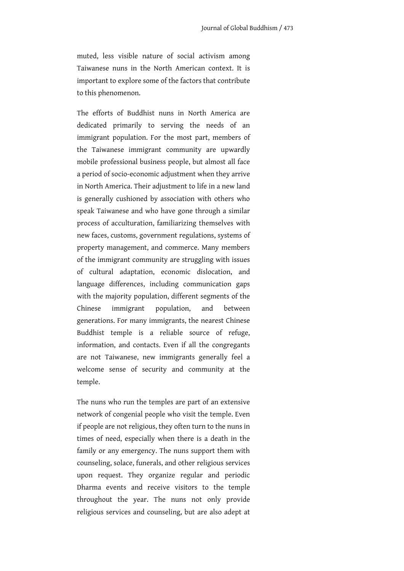muted, less visible nature of social activism among Taiwanese nuns in the North American context. It is important to explore some of the factors that contribute to this phenomenon.

The efforts of Buddhist nuns in North America are dedicated primarily to serving the needs of an immigrant population. For the most part, members of the Taiwanese immigrant community are upwardly mobile professional business people, but almost all face a period of socio-economic adjustment when they arrive in North America. Their adjustment to life in a new land is generally cushioned by association with others who speak Taiwanese and who have gone through a similar process of acculturation, familiarizing themselves with new faces, customs, government regulations, systems of property management, and commerce. Many members of the immigrant community are struggling with issues of cultural adaptation, economic dislocation, and language differences, including communication gaps with the majority population, different segments of the Chinese immigrant population, and between generations. For many immigrants, the nearest Chinese Buddhist temple is a reliable source of refuge, information, and contacts. Even if all the congregants are not Taiwanese, new immigrants generally feel a welcome sense of security and community at the temple.

The nuns who run the temples are part of an extensive network of congenial people who visit the temple. Even if people are not religious, they often turn to the nuns in times of need, especially when there is a death in the family or any emergency. The nuns support them with counseling, solace, funerals, and other religious services upon request. They organize regular and periodic Dharma events and receive visitors to the temple throughout the year. The nuns not only provide religious services and counseling, but are also adept at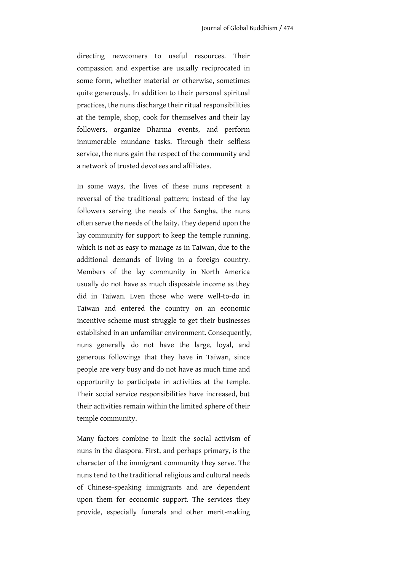directing newcomers to useful resources. Their compassion and expertise are usually reciprocated in some form, whether material or otherwise, sometimes quite generously. In addition to their personal spiritual practices, the nuns discharge their ritual responsibilities at the temple, shop, cook for themselves and their lay followers, organize Dharma events, and perform innumerable mundane tasks. Through their selfless service, the nuns gain the respect of the community and a network of trusted devotees and affiliates.

In some ways, the lives of these nuns represent a reversal of the traditional pattern; instead of the lay followers serving the needs of the Sangha, the nuns often serve the needs of the laity. They depend upon the lay community for support to keep the temple running, which is not as easy to manage as in Taiwan, due to the additional demands of living in a foreign country. Members of the lay community in North America usually do not have as much disposable income as they did in Taiwan. Even those who were well-to-do in Taiwan and entered the country on an economic incentive scheme must struggle to get their businesses established in an unfamiliar environment. Consequently, nuns generally do not have the large, loyal, and generous followings that they have in Taiwan, since people are very busy and do not have as much time and opportunity to participate in activities at the temple. Their social service responsibilities have increased, but their activities remain within the limited sphere of their temple community.

Many factors combine to limit the social activism of nuns in the diaspora. First, and perhaps primary, is the character of the immigrant community they serve. The nuns tend to the traditional religious and cultural needs of Chinese-speaking immigrants and are dependent upon them for economic support. The services they provide, especially funerals and other merit-making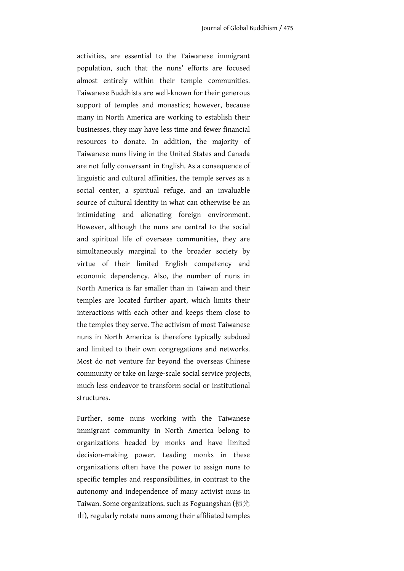activities, are essential to the Taiwanese immigrant population, such that the nuns' efforts are focused almost entirely within their temple communities. Taiwanese Buddhists are well-known for their generous support of temples and monastics; however, because many in North America are working to establish their businesses, they may have less time and fewer financial resources to donate. In addition, the majority of Taiwanese nuns living in the United States and Canada are not fully conversant in English. As a consequence of linguistic and cultural affinities, the temple serves as a social center, a spiritual refuge, and an invaluable source of cultural identity in what can otherwise be an intimidating and alienating foreign environment. However, although the nuns are central to the social and spiritual life of overseas communities, they are simultaneously marginal to the broader society by virtue of their limited English competency and economic dependency. Also, the number of nuns in North America is far smaller than in Taiwan and their temples are located further apart, which limits their interactions with each other and keeps them close to the temples they serve. The activism of most Taiwanese nuns in North America is therefore typically subdued and limited to their own congregations and networks. Most do not venture far beyond the overseas Chinese community or take on large-scale social service projects, much less endeavor to transform social or institutional structures.

Further, some nuns working with the Taiwanese immigrant community in North America belong to organizations headed by monks and have limited decision-making power. Leading monks in these organizations often have the power to assign nuns to specific temples and responsibilities, in contrast to the autonomy and independence of many activist nuns in Taiwan. Some organizations, such as Foguangshan (佛光 山), regularly rotate nuns among their affiliated temples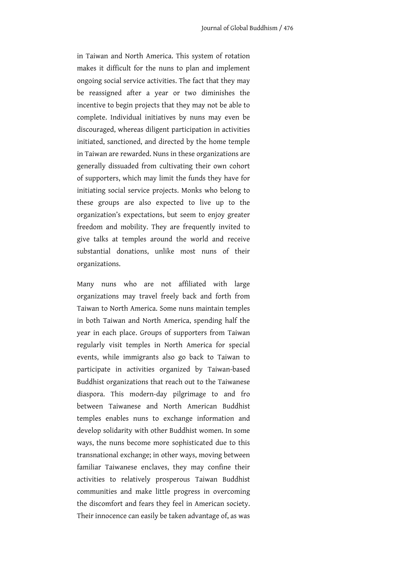in Taiwan and North America. This system of rotation makes it difficult for the nuns to plan and implement ongoing social service activities. The fact that they may be reassigned after a year or two diminishes the incentive to begin projects that they may not be able to complete. Individual initiatives by nuns may even be discouraged, whereas diligent participation in activities initiated, sanctioned, and directed by the home temple in Taiwan are rewarded. Nuns in these organizations are generally dissuaded from cultivating their own cohort of supporters, which may limit the funds they have for initiating social service projects. Monks who belong to these groups are also expected to live up to the organization's expectations, but seem to enjoy greater freedom and mobility. They are frequently invited to give talks at temples around the world and receive substantial donations, unlike most nuns of their organizations.

Many nuns who are not affiliated with large organizations may travel freely back and forth from Taiwan to North America. Some nuns maintain temples in both Taiwan and North America, spending half the year in each place. Groups of supporters from Taiwan regularly visit temples in North America for special events, while immigrants also go back to Taiwan to participate in activities organized by Taiwan-based Buddhist organizations that reach out to the Taiwanese diaspora. This modern-day pilgrimage to and fro between Taiwanese and North American Buddhist temples enables nuns to exchange information and develop solidarity with other Buddhist women. In some ways, the nuns become more sophisticated due to this transnational exchange; in other ways, moving between familiar Taiwanese enclaves, they may confine their activities to relatively prosperous Taiwan Buddhist communities and make little progress in overcoming the discomfort and fears they feel in American society. Their innocence can easily be taken advantage of, as was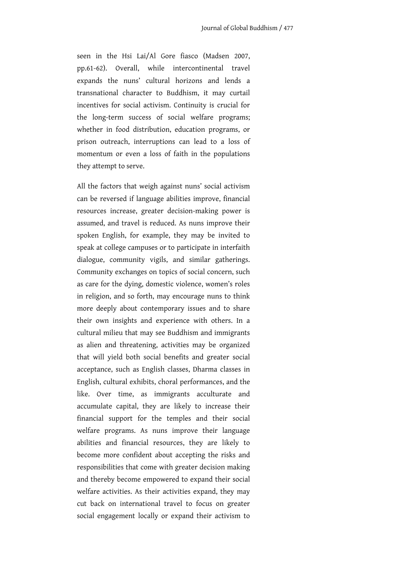seen in the Hsi Lai/Al Gore fiasco (Madsen 2007, pp.61-62). Overall, while intercontinental travel expands the nuns' cultural horizons and lends a transnational character to Buddhism, it may curtail incentives for social activism. Continuity is crucial for the long-term success of social welfare programs; whether in food distribution, education programs, or prison outreach, interruptions can lead to a loss of momentum or even a loss of faith in the populations they attempt to serve.

All the factors that weigh against nuns' social activism can be reversed if language abilities improve, financial resources increase, greater decision-making power is assumed, and travel is reduced. As nuns improve their spoken English, for example, they may be invited to speak at college campuses or to participate in interfaith dialogue, community vigils, and similar gatherings. Community exchanges on topics of social concern, such as care for the dying, domestic violence, women's roles in religion, and so forth, may encourage nuns to think more deeply about contemporary issues and to share their own insights and experience with others. In a cultural milieu that may see Buddhism and immigrants as alien and threatening, activities may be organized that will yield both social benefits and greater social acceptance, such as English classes, Dharma classes in English, cultural exhibits, choral performances, and the like. Over time, as immigrants acculturate and accumulate capital, they are likely to increase their financial support for the temples and their social welfare programs. As nuns improve their language abilities and financial resources, they are likely to become more confident about accepting the risks and responsibilities that come with greater decision making and thereby become empowered to expand their social welfare activities. As their activities expand, they may cut back on international travel to focus on greater social engagement locally or expand their activism to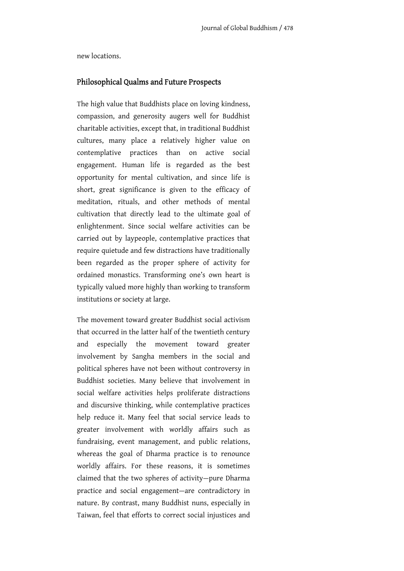new locations.

### Philosophical Qualms and Future Prospects

The high value that Buddhists place on loving kindness, compassion, and generosity augers well for Buddhist charitable activities, except that, in traditional Buddhist cultures, many place a relatively higher value on contemplative practices than on active social engagement. Human life is regarded as the best opportunity for mental cultivation, and since life is short, great significance is given to the efficacy of meditation, rituals, and other methods of mental cultivation that directly lead to the ultimate goal of enlightenment. Since social welfare activities can be carried out by laypeople, contemplative practices that require quietude and few distractions have traditionally been regarded as the proper sphere of activity for ordained monastics. Transforming one's own heart is typically valued more highly than working to transform institutions or society at large.

The movement toward greater Buddhist social activism that occurred in the latter half of the twentieth century and especially the movement toward greater involvement by Sangha members in the social and political spheres have not been without controversy in Buddhist societies. Many believe that involvement in social welfare activities helps proliferate distractions and discursive thinking, while contemplative practices help reduce it. Many feel that social service leads to greater involvement with worldly affairs such as fundraising, event management, and public relations, whereas the goal of Dharma practice is to renounce worldly affairs. For these reasons, it is sometimes claimed that the two spheres of activity—pure Dharma practice and social engagement—are contradictory in nature. By contrast, many Buddhist nuns, especially in Taiwan, feel that efforts to correct social injustices and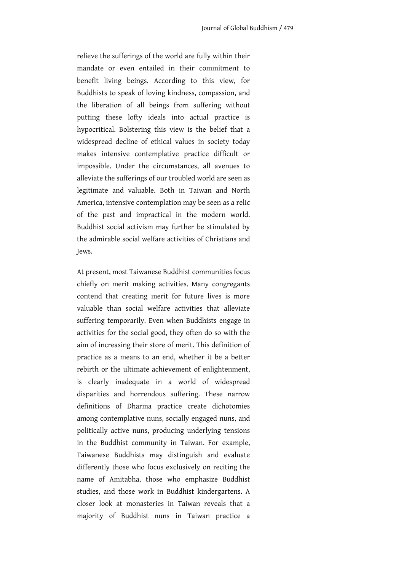relieve the sufferings of the world are fully within their mandate or even entailed in their commitment to benefit living beings. According to this view, for Buddhists to speak of loving kindness, compassion, and the liberation of all beings from suffering without putting these lofty ideals into actual practice is hypocritical. Bolstering this view is the belief that a widespread decline of ethical values in society today makes intensive contemplative practice difficult or impossible. Under the circumstances, all avenues to alleviate the sufferings of our troubled world are seen as legitimate and valuable. Both in Taiwan and North America, intensive contemplation may be seen as a relic of the past and impractical in the modern world. Buddhist social activism may further be stimulated by the admirable social welfare activities of Christians and Jews.

At present, most Taiwanese Buddhist communities focus chiefly on merit making activities. Many congregants contend that creating merit for future lives is more valuable than social welfare activities that alleviate suffering temporarily. Even when Buddhists engage in activities for the social good, they often do so with the aim of increasing their store of merit. This definition of practice as a means to an end, whether it be a better rebirth or the ultimate achievement of enlightenment, is clearly inadequate in a world of widespread disparities and horrendous suffering. These narrow definitions of Dharma practice create dichotomies among contemplative nuns, socially engaged nuns, and politically active nuns, producing underlying tensions in the Buddhist community in Taiwan. For example, Taiwanese Buddhists may distinguish and evaluate differently those who focus exclusively on reciting the name of Amitabha, those who emphasize Buddhist studies, and those work in Buddhist kindergartens. A closer look at monasteries in Taiwan reveals that a majority of Buddhist nuns in Taiwan practice a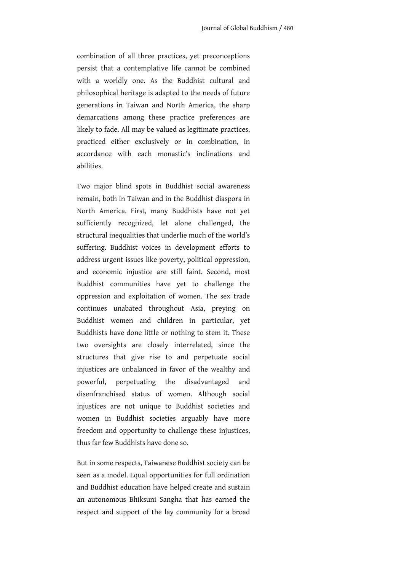combination of all three practices, yet preconceptions persist that a contemplative life cannot be combined with a worldly one. As the Buddhist cultural and philosophical heritage is adapted to the needs of future generations in Taiwan and North America, the sharp demarcations among these practice preferences are likely to fade. All may be valued as legitimate practices, practiced either exclusively or in combination, in accordance with each monastic's inclinations and abilities.

Two major blind spots in Buddhist social awareness remain, both in Taiwan and in the Buddhist diaspora in North America. First, many Buddhists have not yet sufficiently recognized, let alone challenged, the structural inequalities that underlie much of the world's suffering. Buddhist voices in development efforts to address urgent issues like poverty, political oppression, and economic injustice are still faint. Second, most Buddhist communities have yet to challenge the oppression and exploitation of women. The sex trade continues unabated throughout Asia, preying on Buddhist women and children in particular, yet Buddhists have done little or nothing to stem it. These two oversights are closely interrelated, since the structures that give rise to and perpetuate social injustices are unbalanced in favor of the wealthy and powerful, perpetuating the disadvantaged and disenfranchised status of women. Although social injustices are not unique to Buddhist societies and women in Buddhist societies arguably have more freedom and opportunity to challenge these injustices, thus far few Buddhists have done so.

But in some respects, Taiwanese Buddhist society can be seen as a model. Equal opportunities for full ordination and Buddhist education have helped create and sustain an autonomous Bhiksuni Sangha that has earned the respect and support of the lay community for a broad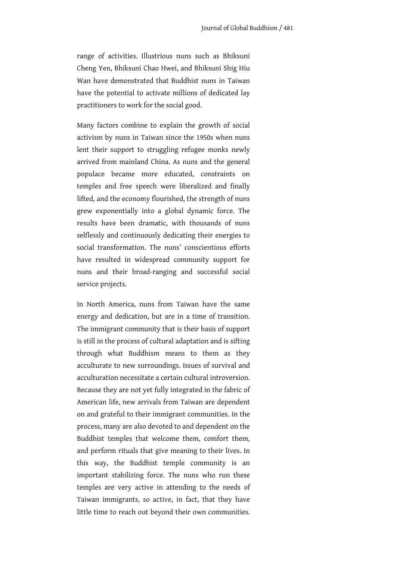range of activities. Illustrious nuns such as Bhiksuni Cheng Yen, Bhiksuni Chao Hwei, and Bhiksuni Shig Hiu Wan have demonstrated that Buddhist nuns in Taiwan have the potential to activate millions of dedicated lay practitioners to work for the social good.

Many factors combine to explain the growth of social activism by nuns in Taiwan since the 1950s when nuns lent their support to struggling refugee monks newly arrived from mainland China. As nuns and the general populace became more educated, constraints on temples and free speech were liberalized and finally lifted, and the economy flourished, the strength of nuns grew exponentially into a global dynamic force. The results have been dramatic, with thousands of nuns selflessly and continuously dedicating their energies to social transformation. The nuns' conscientious efforts have resulted in widespread community support for nuns and their broad-ranging and successful social service projects.

In North America, nuns from Taiwan have the same energy and dedication, but are in a time of transition. The immigrant community that is their basis of support is still in the process of cultural adaptation and is sifting through what Buddhism means to them as they acculturate to new surroundings. Issues of survival and acculturation necessitate a certain cultural introversion. Because they are not yet fully integrated in the fabric of American life, new arrivals from Taiwan are dependent on and grateful to their immigrant communities. In the process, many are also devoted to and dependent on the Buddhist temples that welcome them, comfort them, and perform rituals that give meaning to their lives. In this way, the Buddhist temple community is an important stabilizing force. The nuns who run these temples are very active in attending to the needs of Taiwan immigrants, so active, in fact, that they have little time to reach out beyond their own communities.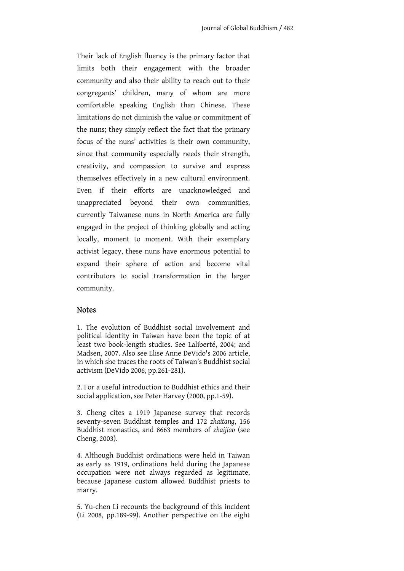Their lack of English fluency is the primary factor that limits both their engagement with the broader community and also their ability to reach out to their congregants' children, many of whom are more comfortable speaking English than Chinese. These limitations do not diminish the value or commitment of the nuns; they simply reflect the fact that the primary focus of the nuns' activities is their own community, since that community especially needs their strength, creativity, and compassion to survive and express themselves effectively in a new cultural environment. Even if their efforts are unacknowledged and unappreciated beyond their own communities, currently Taiwanese nuns in North America are fully engaged in the project of thinking globally and acting locally, moment to moment. With their exemplary activist legacy, these nuns have enormous potential to expand their sphere of action and become vital contributors to social transformation in the larger community.

#### **Notes**

1. The evolution of Buddhist social involvement and political identity in Taiwan have been the topic of at least two book-length studies. See Laliberté, 2004; and Madsen, 2007. Also see Elise Anne DeVido's 2006 article, in which she traces the roots of Taiwan's Buddhist social activism (DeVido 2006, pp.261-281).

2. For a useful introduction to Buddhist ethics and their social application, see Peter Harvey (2000, pp.1-59).

3. Cheng cites a 1919 Japanese survey that records seventy-seven Buddhist temples and 172 *zhaitang*, 156 Buddhist monastics, and 8663 members of *zhaijiao* (see Cheng, 2003).

4. Although Buddhist ordinations were held in Taiwan as early as 1919, ordinations held during the Japanese occupation were not always regarded as legitimate, because Japanese custom allowed Buddhist priests to marry.

5. Yu-chen Li recounts the background of this incident (Li 2008, pp.189-99). Another perspective on the eight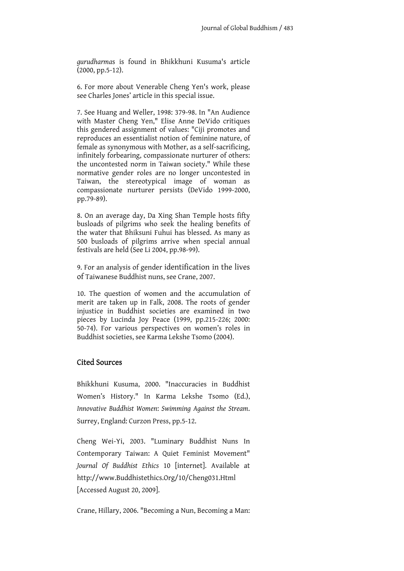*gurudharma*s is found in Bhikkhuni Kusuma's article (2000, pp.5-12).

6. For more about Venerable Cheng Yen's work, please see Charles Jones' article in this special issue.

7. See Huang and Weller, 1998: 379-98. In "An Audience with Master Cheng Yen," Elise Anne DeVido critiques this gendered assignment of values: "Ciji promotes and reproduces an essentialist notion of feminine nature, of female as synonymous with Mother, as a self-sacrificing, infinitely forbearing, compassionate nurturer of others: the uncontested norm in Taiwan society." While these normative gender roles are no longer uncontested in Taiwan, the stereotypical image of woman as compassionate nurturer persists (DeVido 1999-2000, pp.79-89).

8. On an average day, Da Xing Shan Temple hosts fifty busloads of pilgrims who seek the healing benefits of the water that Bhiksuni Fuhui has blessed. As many as 500 busloads of pilgrims arrive when special annual festivals are held (See Li 2004, pp.98-99).

9. For an analysis of gender identification in the lives of Taiwanese Buddhist nuns, see Crane, 2007.

10. The question of women and the accumulation of merit are taken up in Falk, 2008. The roots of gender injustice in Buddhist societies are examined in two pieces by Lucinda Joy Peace (1999, pp.215-226; 2000: 50-74). For various perspectives on women's roles in Buddhist societies, see Karma Lekshe Tsomo (2004).

## Cited Sources

Bhikkhuni Kusuma, 2000. "Inaccuracies in Buddhist Women's History." In Karma Lekshe Tsomo (Ed.), *Innovative Buddhist Women*: *Swimming Against the Stream*. Surrey, England: Curzon Press, pp.5-12.

Cheng Wei-Yi, 2003. "Luminary Buddhist Nuns In Contemporary Taiwan: A Quiet Feminist Movement" *Journal Of Buddhist Ethics* 10 [internet]. Available at http://www.Buddhistethics.Org/10/Cheng031.Html [Accessed August 20, 2009].

Crane, Hillary, 2006. "Becoming a Nun, Becoming a Man: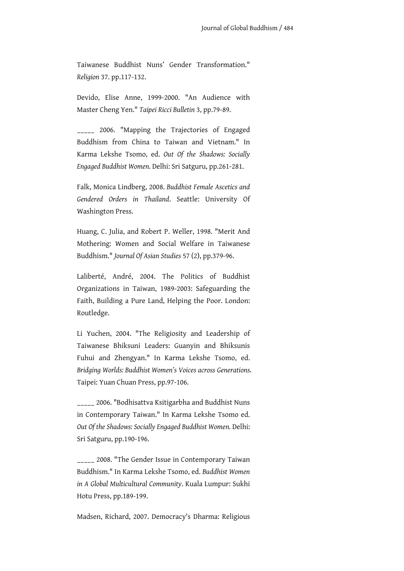Taiwanese Buddhist Nuns' Gender Transformation." *Religion* 37. pp.117-132.

Devido, Elise Anne, 1999-2000. "An Audience with Master Cheng Yen." *Taipei Ricci Bulletin* 3, pp.79-89.

\_\_\_\_\_ 2006. "Mapping the Trajectories of Engaged Buddhism from China to Taiwan and Vietnam." In Karma Lekshe Tsomo, ed. *Out Of the Shadows: Socially Engaged Buddhist Women.* Delhi: Sri Satguru, pp.261-281.

Falk, Monica Lindberg, 2008. *Buddhist Female Ascetics and Gendered Orders in Thailand*. Seattle: University Of Washington Press.

Huang, C. Julia, and Robert P. Weller, 1998. "Merit And Mothering: Women and Social Welfare in Taiwanese Buddhism." *Journal Of Asian Studies* 57 (2), pp.379-96.

Laliberté, André, 2004. The Politics of Buddhist Organizations in Taiwan, 1989-2003: Safeguarding the Faith, Building a Pure Land, Helping the Poor. London: Routledge.

Li Yuchen, 2004. "The Religiosity and Leadership of Taiwanese Bhiksuni Leaders: Guanyin and Bhiksunis Fuhui and Zhengyan." In Karma Lekshe Tsomo, ed. *Bridging Worlds: Buddhist Women's Voices across Generations.*  Taipei: Yuan Chuan Press, pp.97-106.

\_\_\_\_\_ 2006. "Bodhisattva Ksitigarbha and Buddhist Nuns in Contemporary Taiwan." In Karma Lekshe Tsomo ed. *Out Of the Shadows: Socially Engaged Buddhist Women.* Delhi: Sri Satguru, pp.190-196.

\_\_\_\_\_ 2008. "The Gender Issue in Contemporary Taiwan Buddhism." In Karma Lekshe Tsomo, ed. *Buddhist Women in A Global Multicultural Community*. Kuala Lumpur: Sukhi Hotu Press, pp.189-199.

Madsen, Richard, 2007. Democracy's Dharma: Religious